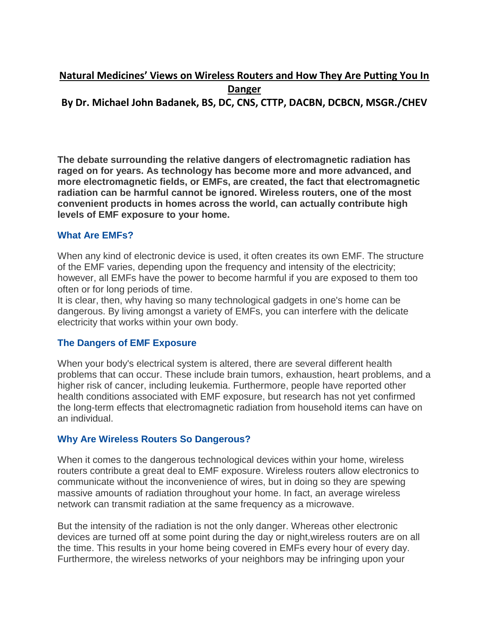# **Natural Medicines' Views on Wireless Routers and How They Are Putting You In Danger**

**By Dr. Michael John Badanek, BS, DC, CNS, CTTP, DACBN, DCBCN, MSGR./CHEV**

**The debate surrounding the relative dangers of electromagnetic radiation has raged on for years. As technology has become more and more advanced, and more electromagnetic fields, or EMFs, are created, the fact that electromagnetic radiation can be harmful cannot be ignored. Wireless routers, one of the most convenient products in homes across the world, can actually contribute high levels of EMF exposure to your home.**

## **What Are EMFs?**

When any kind of electronic device is used, it often creates its own EMF. The structure of the EMF varies, depending upon the frequency and intensity of the electricity; however, all EMFs have the power to become harmful if you are exposed to them too often or for long periods of time.

It is clear, then, why having so many technological gadgets in one's home can be dangerous. By living amongst a variety of EMFs, you can interfere with the delicate electricity that works within your own body.

#### **The Dangers of EMF Exposure**

When your body's electrical system is altered, there are several different health problems that can occur. These include brain tumors, exhaustion, heart problems, and a higher risk of cancer, including leukemia. Furthermore, people have reported other health conditions associated with EMF exposure, but research has not yet confirmed the long-term effects that electromagnetic radiation from household items can have on an individual.

# **Why Are Wireless Routers So Dangerous?**

When it comes to the dangerous technological devices within your home, wireless routers contribute a great deal to EMF exposure. Wireless routers allow electronics to communicate without the inconvenience of wires, but in doing so they are spewing massive amounts of radiation throughout your home. In fact, an average wireless network can transmit radiation at the same frequency as a microwave.

But the intensity of the radiation is not the only danger. Whereas other electronic devices are turned off at some point during the day or night,wireless routers are on all the time. This results in your home being covered in EMFs every hour of every day. Furthermore, the wireless networks of your neighbors may be infringing upon your